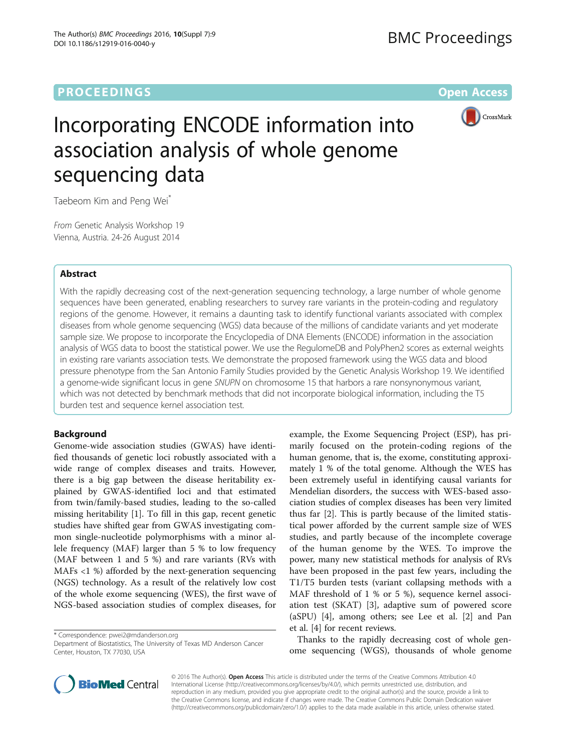# **PROCEEDINGS CONSUMING S** Open Access **CONSUMING S**



# Incorporating ENCODE information into association analysis of whole genome sequencing data

Taebeom Kim and Peng Wei\*

From Genetic Analysis Workshop 19 Vienna, Austria. 24-26 August 2014

## Abstract

With the rapidly decreasing cost of the next-generation sequencing technology, a large number of whole genome sequences have been generated, enabling researchers to survey rare variants in the protein-coding and regulatory regions of the genome. However, it remains a daunting task to identify functional variants associated with complex diseases from whole genome sequencing (WGS) data because of the millions of candidate variants and yet moderate sample size. We propose to incorporate the Encyclopedia of DNA Elements (ENCODE) information in the association analysis of WGS data to boost the statistical power. We use the RegulomeDB and PolyPhen2 scores as external weights in existing rare variants association tests. We demonstrate the proposed framework using the WGS data and blood pressure phenotype from the San Antonio Family Studies provided by the Genetic Analysis Workshop 19. We identified a genome-wide significant locus in gene SNUPN on chromosome 15 that harbors a rare nonsynonymous variant, which was not detected by benchmark methods that did not incorporate biological information, including the T5 burden test and sequence kernel association test.

## Background

Genome-wide association studies (GWAS) have identified thousands of genetic loci robustly associated with a wide range of complex diseases and traits. However, there is a big gap between the disease heritability explained by GWAS-identified loci and that estimated from twin/family-based studies, leading to the so-called missing heritability [\[1](#page-4-0)]. To fill in this gap, recent genetic studies have shifted gear from GWAS investigating common single-nucleotide polymorphisms with a minor allele frequency (MAF) larger than 5 % to low frequency (MAF between 1 and 5 %) and rare variants (RVs with MAFs <1 %) afforded by the next-generation sequencing (NGS) technology. As a result of the relatively low cost of the whole exome sequencing (WES), the first wave of NGS-based association studies of complex diseases, for

\* Correspondence: [pwei2@mdanderson.org](mailto:pwei2@mdanderson.org)

Department of Biostatistics, The University of Texas MD Anderson Cancer Center, Houston, TX 77030, USA

example, the Exome Sequencing Project (ESP), has primarily focused on the protein-coding regions of the human genome, that is, the exome, constituting approximately 1 % of the total genome. Although the WES has been extremely useful in identifying causal variants for Mendelian disorders, the success with WES-based association studies of complex diseases has been very limited thus far [\[2\]](#page-4-0). This is partly because of the limited statistical power afforded by the current sample size of WES studies, and partly because of the incomplete coverage of the human genome by the WES. To improve the power, many new statistical methods for analysis of RVs have been proposed in the past few years, including the T1/T5 burden tests (variant collapsing methods with a MAF threshold of 1 % or 5 %), sequence kernel association test (SKAT) [[3\]](#page-4-0), adaptive sum of powered score (aSPU) [[4](#page-4-0)], among others; see Lee et al. [[2\]](#page-4-0) and Pan et al. [\[4](#page-4-0)] for recent reviews.

Thanks to the rapidly decreasing cost of whole genome sequencing (WGS), thousands of whole genome



© 2016 The Author(s). Open Access This article is distributed under the terms of the Creative Commons Attribution 4.0 International License [\(http://creativecommons.org/licenses/by/4.0/](http://creativecommons.org/licenses/by/4.0/)), which permits unrestricted use, distribution, and reproduction in any medium, provided you give appropriate credit to the original author(s) and the source, provide a link to the Creative Commons license, and indicate if changes were made. The Creative Commons Public Domain Dedication waiver [\(http://creativecommons.org/publicdomain/zero/1.0/](http://creativecommons.org/publicdomain/zero/1.0/)) applies to the data made available in this article, unless otherwise stated.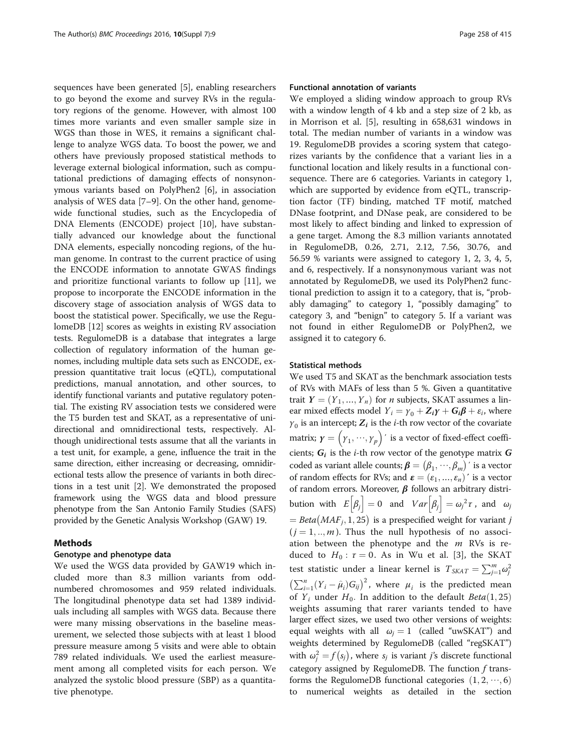sequences have been generated [[5\]](#page-4-0), enabling researchers to go beyond the exome and survey RVs in the regulatory regions of the genome. However, with almost 100 times more variants and even smaller sample size in WGS than those in WES, it remains a significant challenge to analyze WGS data. To boost the power, we and others have previously proposed statistical methods to leverage external biological information, such as computational predictions of damaging effects of nonsynonymous variants based on PolyPhen2 [\[6](#page-4-0)], in association analysis of WES data [[7](#page-4-0)–[9](#page-4-0)]. On the other hand, genomewide functional studies, such as the Encyclopedia of DNA Elements (ENCODE) project [[10\]](#page-4-0), have substantially advanced our knowledge about the functional DNA elements, especially noncoding regions, of the human genome. In contrast to the current practice of using the ENCODE information to annotate GWAS findings and prioritize functional variants to follow up [[11\]](#page-4-0), we propose to incorporate the ENCODE information in the discovery stage of association analysis of WGS data to boost the statistical power. Specifically, we use the RegulomeDB [\[12\]](#page-4-0) scores as weights in existing RV association tests. RegulomeDB is a database that integrates a large collection of regulatory information of the human genomes, including multiple data sets such as ENCODE, expression quantitative trait locus (eQTL), computational predictions, manual annotation, and other sources, to identify functional variants and putative regulatory potential. The existing RV association tests we considered were the T5 burden test and SKAT, as a representative of unidirectional and omnidirectional tests, respectively. Although unidirectional tests assume that all the variants in a test unit, for example, a gene, influence the trait in the same direction, either increasing or decreasing, omnidirectional tests allow the presence of variants in both directions in a test unit [[2\]](#page-4-0). We demonstrated the proposed framework using the WGS data and blood pressure phenotype from the San Antonio Family Studies (SAFS) provided by the Genetic Analysis Workshop (GAW) 19.

## Methods

## Genotype and phenotype data

We used the WGS data provided by GAW19 which included more than 8.3 million variants from oddnumbered chromosomes and 959 related individuals. The longitudinal phenotype data set had 1389 individuals including all samples with WGS data. Because there were many missing observations in the baseline measurement, we selected those subjects with at least 1 blood pressure measure among 5 visits and were able to obtain 789 related individuals. We used the earliest measurement among all completed visits for each person. We analyzed the systolic blood pressure (SBP) as a quantitative phenotype.

## Functional annotation of variants

We employed a sliding window approach to group RVs with a window length of 4 kb and a step size of 2 kb, as in Morrison et al. [\[5\]](#page-4-0), resulting in 658,631 windows in total. The median number of variants in a window was 19. RegulomeDB provides a scoring system that categorizes variants by the confidence that a variant lies in a functional location and likely results in a functional consequence. There are 6 categories. Variants in category 1, which are supported by evidence from eQTL, transcription factor (TF) binding, matched TF motif, matched DNase footprint, and DNase peak, are considered to be most likely to affect binding and linked to expression of a gene target. Among the 8.3 million variants annotated in RegulomeDB, 0.26, 2.71, 2.12, 7.56, 30.76, and 56.59 % variants were assigned to category 1, 2, 3, 4, 5, and 6, respectively. If a nonsynonymous variant was not annotated by RegulomeDB, we used its PolyPhen2 functional prediction to assign it to a category, that is, "probably damaging" to category 1, "possibly damaging" to category 3, and "benign" to category 5. If a variant was not found in either RegulomeDB or PolyPhen2, we assigned it to category 6.

## Statistical methods

We used T5 and SKAT as the benchmark association tests of RVs with MAFs of less than 5 %. Given a quantitative trait  $Y = (Y_1, ..., Y_n)$  for *n* subjects, SKAT assumes a linear mixed effects model  $Y_i = \gamma_0 + Z_i \gamma + G_i \beta + \varepsilon_i$ , where  $\gamma_0$  is an intercept;  $Z_i$  is the *i*-th row vector of the covariate matrix;  $\boldsymbol{\gamma} = \left(\gamma_1, \cdots, \gamma_p\right)'$  is a vector of fixed-effect coefficients;  $G_i$  is the *i*-th row vector of the genotype matrix  $G$ coded as variant allele counts;  $\pmb{\beta} = (\beta_1, \cdots, \beta_m)'$  is a vector of random effects for RVs; and  $\boldsymbol{\varepsilon} = (\varepsilon_1, ..., \varepsilon_n)'$  is a vector of random errors. Moreover,  $\beta$  follows an arbitrary distribution with  $E[\beta_j] = 0$  and  $Var[\beta_j] = \omega_j^2 \tau$ , and  $\omega_j$  $Beta(MAF<sub>i</sub>, 1, 25)$  is a prespecified weight for variant j  $(j = 1, ..., m)$ . Thus the null hypothesis of no association between the phenotype and the  $m$  RVs is reduced to  $H_0$ :  $\tau = 0$ . As in Wu et al. [\[3](#page-4-0)], the SKAT test statistic under a linear kernel is  $T_{SKAT} = \sum_{j=1}^{m} \omega_j^2$  $\left(\sum_{i=1}^n (Y_i - \hat{\mu}_i) G_{ij}\right)^2$ , where  $\mu_i$  is the predicted mean of  $Y_i$  under  $H_0$ . In addition to the default  $Beta(1, 25)$ weights assuming that rarer variants tended to have larger effect sizes, we used two other versions of weights: equal weights with all  $\omega_j = 1$  (called "uwSKAT") and weights determined by RegulomeDB (called "regSKAT") with  $\omega_j^2 = f(s_j)$ , where  $s_j$  is variant *j*'s discrete functional category assigned by RegulomeDB. The function  $f$  transforms the RegulomeDB functional categories  $(1, 2, \dots, 6)$ to numerical weights as detailed in the section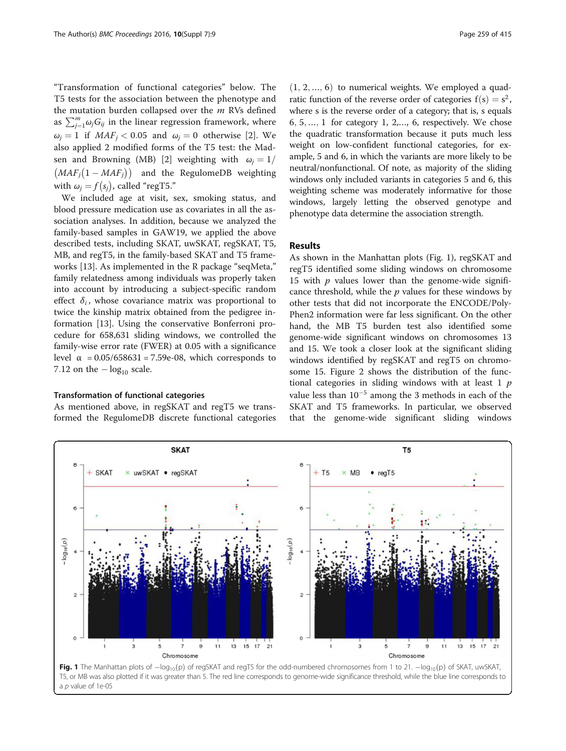"Transformation of functional categories" below. The T5 tests for the association between the phenotype and the mutation burden collapsed over the  $m$  RVs defined as  $\sum_{j=1}^{m} \omega_j G_{ij}$  in the linear regression framework, where  $\omega_i = 1$  if  $MAF_i < 0.05$  and  $\omega_i = 0$  otherwise [\[2](#page-4-0)]. We also applied 2 modified forms of the T5 test: the Mad-sen and Browning (MB) [[2](#page-4-0)] weighting with  $\omega_j = 1/2$  $(MAF_j(1 - MAF_j))$  and the RegulomeDB weighting with  $\omega_j = f(s_j)$ , called "regT5."

We included age at visit, sex, smoking status, and blood pressure medication use as covariates in all the association analyses. In addition, because we analyzed the family-based samples in GAW19, we applied the above described tests, including SKAT, uwSKAT, regSKAT, T5, MB, and regT5, in the family-based SKAT and T5 frameworks [\[13](#page-4-0)]. As implemented in the R package "seqMeta," family relatedness among individuals was properly taken into account by introducing a subject-specific random effect  $\delta_i$ , whose covariance matrix was proportional to twice the kinship matrix obtained from the pedigree information [[13\]](#page-4-0). Using the conservative Bonferroni procedure for 658,631 sliding windows, we controlled the family-wise error rate (FWER) at 0.05 with a significance level  $\alpha$  = 0.05/658631 = 7.59e-08, which corresponds to 7.12 on the  $-\log_{10}$  scale.

#### Transformation of functional categories

As mentioned above, in regSKAT and regT5 we transformed the RegulomeDB discrete functional categories

 $(1, 2, \ldots, 6)$  to numerical weights. We employed a quadratic function of the reverse order of categories  $f(s) = s^2$ , where s is the reverse order of a category; that is, s equals  $6, 5, \ldots, 1$  for category 1, 2,..., 6, respectively. We chose the quadratic transformation because it puts much less weight on low-confident functional categories, for example, 5 and 6, in which the variants are more likely to be neutral/nonfunctional. Of note, as majority of the sliding windows only included variants in categories 5 and 6, this weighting scheme was moderately informative for those windows, largely letting the observed genotype and phenotype data determine the association strength.

## Results

As shown in the Manhattan plots (Fig. 1), regSKAT and regT5 identified some sliding windows on chromosome 15 with  $p$  values lower than the genome-wide significance threshold, while the  $p$  values for these windows by other tests that did not incorporate the ENCODE/Poly-Phen2 information were far less significant. On the other hand, the MB T5 burden test also identified some genome-wide significant windows on chromosomes 13 and 15. We took a closer look at the significant sliding windows identified by regSKAT and regT5 on chromosome 15. Figure [2](#page-3-0) shows the distribution of the functional categories in sliding windows with at least  $1$   $p$ value less than  $10^{-5}$  among the 3 methods in each of the SKAT and T5 frameworks. In particular, we observed that the genome-wide significant sliding windows



**Fig. 1** The Manhattan plots of  $-\log_{10}(p)$  of regSKAT and regT5 for the odd-numbered chromosomes from 1 to 21.  $-\log_{10}(p)$  of SKAT, uwSKAT, T5, or MB was also plotted if it was greater than 5. The red line corresponds to genome-wide significance threshold, while the blue line corresponds to a p value of 1e-05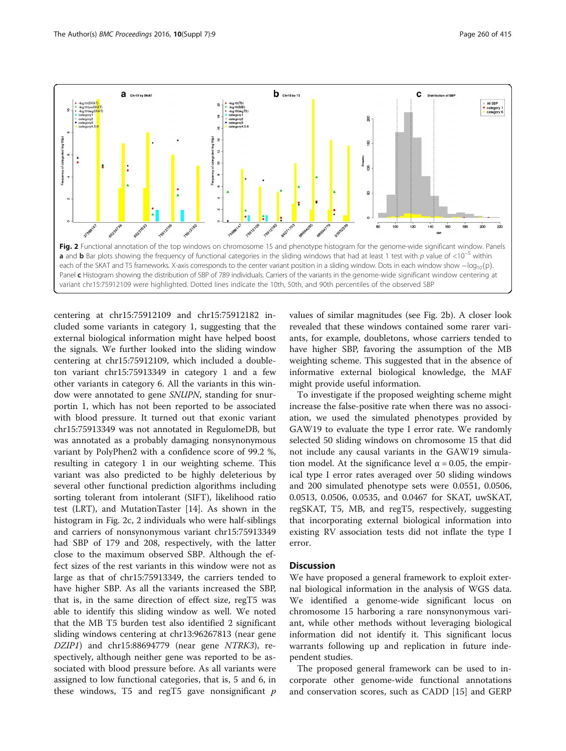<span id="page-3-0"></span>

centering at chr15:75912109 and chr15:75912182 included some variants in category 1, suggesting that the external biological information might have helped boost the signals. We further looked into the sliding window centering at chr15:75912109, which included a doubleton variant chr15:75913349 in category 1 and a few other variants in category 6. All the variants in this window were annotated to gene SNUPN, standing for snurportin 1, which has not been reported to be associated with blood pressure. It turned out that exonic variant chr15:75913349 was not annotated in RegulomeDB, but was annotated as a probably damaging nonsynonymous variant by PolyPhen2 with a confidence score of 99.2 %, resulting in category 1 in our weighting scheme. This variant was also predicted to be highly deleterious by several other functional prediction algorithms including sorting tolerant from intolerant (SIFT), likelihood ratio test (LRT), and MutationTaster [\[14](#page-4-0)]. As shown in the histogram in Fig. 2c, 2 individuals who were half-siblings and carriers of nonsynonymous variant chr15:75913349 had SBP of 179 and 208, respectively, with the latter close to the maximum observed SBP. Although the effect sizes of the rest variants in this window were not as large as that of chr15:75913349, the carriers tended to have higher SBP. As all the variants increased the SBP, that is, in the same direction of effect size, regT5 was able to identify this sliding window as well. We noted that the MB T5 burden test also identified 2 significant sliding windows centering at chr13:96267813 (near gene DZIP1) and chr15:88694779 (near gene NTRK3), respectively, although neither gene was reported to be associated with blood pressure before. As all variants were assigned to low functional categories, that is, 5 and 6, in these windows, T5 and regT5 gave nonsignificant  $p$ 

values of similar magnitudes (see Fig. 2b). A closer look revealed that these windows contained some rarer variants, for example, doubletons, whose carriers tended to have higher SBP, favoring the assumption of the MB weighting scheme. This suggested that in the absence of informative external biological knowledge, the MAF might provide useful information.

To investigate if the proposed weighting scheme might increase the false-positive rate when there was no association, we used the simulated phenotypes provided by GAW19 to evaluate the type I error rate. We randomly selected 50 sliding windows on chromosome 15 that did not include any causal variants in the GAW19 simulation model. At the significance level  $\alpha$  = 0.05, the empirical type I error rates averaged over 50 sliding windows and 200 simulated phenotype sets were 0.0551, 0.0506, 0.0513, 0.0506, 0.0535, and 0.0467 for SKAT, uwSKAT, regSKAT, T5, MB, and regT5, respectively, suggesting that incorporating external biological information into existing RV association tests did not inflate the type I error.

## **Discussion**

We have proposed a general framework to exploit external biological information in the analysis of WGS data. We identified a genome-wide significant locus on chromosome 15 harboring a rare nonsynonymous variant, while other methods without leveraging biological information did not identify it. This significant locus warrants following up and replication in future independent studies.

The proposed general framework can be used to incorporate other genome-wide functional annotations and conservation scores, such as CADD [\[15\]](#page-4-0) and GERP